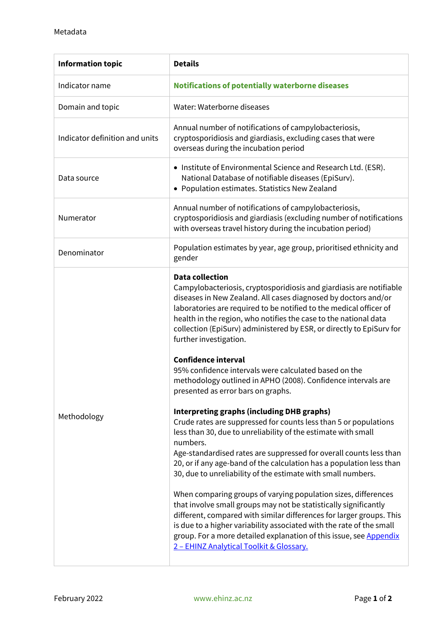| <b>Information topic</b>       | <b>Details</b>                                                                                                                                                                                                                                                                                                                                                                                                   |
|--------------------------------|------------------------------------------------------------------------------------------------------------------------------------------------------------------------------------------------------------------------------------------------------------------------------------------------------------------------------------------------------------------------------------------------------------------|
| Indicator name                 | <b>Notifications of potentially waterborne diseases</b>                                                                                                                                                                                                                                                                                                                                                          |
| Domain and topic               | Water: Waterborne diseases                                                                                                                                                                                                                                                                                                                                                                                       |
| Indicator definition and units | Annual number of notifications of campylobacteriosis,<br>cryptosporidiosis and giardiasis, excluding cases that were<br>overseas during the incubation period                                                                                                                                                                                                                                                    |
| Data source                    | • Institute of Environmental Science and Research Ltd. (ESR).<br>National Database of notifiable diseases (EpiSurv).<br>• Population estimates. Statistics New Zealand                                                                                                                                                                                                                                           |
| Numerator                      | Annual number of notifications of campylobacteriosis,<br>cryptosporidiosis and giardiasis (excluding number of notifications<br>with overseas travel history during the incubation period)                                                                                                                                                                                                                       |
| Denominator                    | Population estimates by year, age group, prioritised ethnicity and<br>gender                                                                                                                                                                                                                                                                                                                                     |
| Methodology                    | <b>Data collection</b><br>Campylobacteriosis, cryptosporidiosis and giardiasis are notifiable<br>diseases in New Zealand. All cases diagnosed by doctors and/or<br>laboratories are required to be notified to the medical officer of<br>health in the region, who notifies the case to the national data<br>collection (EpiSurv) administered by ESR, or directly to EpiSurv for<br>further investigation.      |
|                                | <b>Confidence interval</b><br>95% confidence intervals were calculated based on the<br>methodology outlined in APHO (2008). Confidence intervals are<br>presented as error bars on graphs.                                                                                                                                                                                                                       |
|                                | <b>Interpreting graphs (including DHB graphs)</b><br>Crude rates are suppressed for counts less than 5 or populations<br>less than 30, due to unreliability of the estimate with small<br>numbers.<br>Age-standardised rates are suppressed for overall counts less than<br>20, or if any age-band of the calculation has a population less than<br>30, due to unreliability of the estimate with small numbers. |
|                                | When comparing groups of varying population sizes, differences<br>that involve small groups may not be statistically significantly<br>different, compared with similar differences for larger groups. This<br>is due to a higher variability associated with the rate of the small<br>group. For a more detailed explanation of this issue, see Appendix<br>2 - EHINZ Analytical Toolkit & Glossary.             |